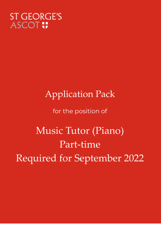## **ST GEORGE'S ASCOT !!**

# **Application Pack**

for the position of

Music Tutor (Piano) Part-time Required for September 2022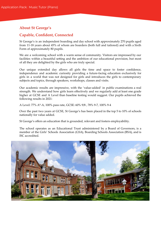## **About St George's**

## **Capable, Confident, Connected**

St George's is an independent boarding and day school with approximately 270 pupils aged from 11-18 years about 45% of whom are boarders (both full and tailored) and with a Sixth Form of approximately 80 pupils.

We are a welcoming school with a warm sense of community. Visitors are impressed by our facilities within a beautiful setting and the ambition of our educational provision, but most of all they are delighted by the girls who are truly special.

Our unique extended day allows all girls the time and space to foster confidence, independence and academic curiosity providing a future-facing education exclusively for girls in a world that was not designed for girls and introduces the girls to contemporary subjects and topics, through speakers, workshops, classes and visits.

Our academic results are impressive, with the 'value-added' in public examinations a real strength. We understand how girls learn effectively and we regularly add at least one grade higher at GCSE and A Level than baseline testing would suggest. Our pupils achieved the following results in 2021:

A Level: 77% A\*-A, 100% pass rate, GCSE: 60% 9/8 , 78% 9-7, 100% 9-4

Over the past two years at GCSE, St George's has been placed in the top 5 to 10% of schools nationally for value added.

St George's offers an education that is grounded, relevant and fosters employability.

The school operates as an Educational Trust administered by a Board of Governors, is a member of the Girls' Schools Association (GSA), Boarding Schools Association (BSA), and is ISC accredited.

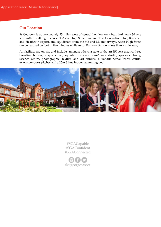### **Our Location**

St George's is approximately 25 miles west of central London, on a beautiful, leafy 30 acre site, within walking distance of Ascot High Street. We are close to Windsor, Eton, Bracknell and Heathrow airport, and equidistant from the M3 and M4 motorways. Ascot High Street can be reached on foot in five minutes while Ascot Railway Station is less than a mile away.

All facilities are on site and include, amongst others, a state-of-the-art 350 seat theatre, three boarding houses, a sports hall, squash courts and gym/dance studio, spacious library, Science centre, photographic, textiles and art studios, 6 floodlit netball/tennis courts, extensive sports pitches and a 25m 6 lane indoor swimming pool.



#SGACapable #SGAConfident #SGAConnected

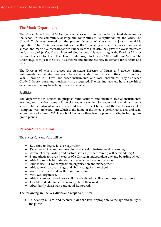#### **The Music Department**

The Music Department at St George's achieves much and provides a valued showcase for the school in the community at large and contributes to its reputation far and wide. The Chapel Choir was formed by the present Director of Music and enjoys an enviable reputation. The Choir has recorded for the BBC, has sung at major venues at home and abroad and made five recordings with Priory Records. In 2012 they gave the world premiere performance of *Jubilate Deo* by Howard Goodall and this year, sang at the Reading Minster memorial service for HRH The Duke of Edinburgh. In July 2022 they will tour Austria. The Choir sings each year at St Paul's Cathedral and are increasingly in demand for concerts and recitals.

The Director of Music oversees the Assistant Director of Music and twelve visiting instrumental and singing teachers. The academic staff teach Music in the curriculum from Year 7 through to A Level and coach instrumental and vocal ensembles. They also teach Grade 5 theory, aural and musicianship as required. The visiting teachers have a wealth of experience and many have busy freelance careers.

#### **Facilities**

The department is housed in purpose built facilities and includes twelve instrumental teaching and practice rooms, a large classroom, a smaller classroom and several instrument stores. The department area is connected both to the Chapel and the Sue Cormack Hall (complete with orchestral pit) which is the home of the school's performance arts and seats an audience of around 250. The school has more than twenty pianos on site, including four grand pianos.

## **Person Specification**

The successful candidate will be:

- Educated to degree level or equivalent.
- Experienced in classroom teaching and vocal or instrumental rehearsing.
- Aware of safeguarding and pastoral issues (further training will be mandatory).
- Sympathetic towards the ethos of a Christian, independent day and boarding school.
- Able to promote high standards of education, care and behaviour.
- Able to use ICT for composition, organisation and management.
- Able to teach across the age and ability range for the school.
- An excellent oral and written communicator.
- Very well organised.
- Able to co-operate and work collaboratively with colleagues, pupils and parents.
- Flexible and adaptable when going about their work.
- Abundantly charismatic and good-humoured.

#### **The following are the key duties and responsibilities:**

● To develop musical and technical skills at a level appropriate to the age and ability of the pupils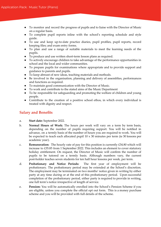- To monitor and record the progress of pupils and to liaise with the Director of Music on a regular basis.
- To complete pupil reports inline with the school's reporting schedule and style guide.
- To use and keep up-to-date practice diaries, pupil profiles, pupil reports, record keeping files; and exam entry forms.
- To plan and use a range of suitable materials to meet the learning needs of the pupils.
- To produce and use written short-term lesson plans as required.
- To actively encourage children to take advantage of the performance opportunities in school and the local and wider communities.
- To prepare pupils for examinations where appropriate and to provide support and guidance to parents and pupils.
- To keep abreast of new ideas, teaching materials and methods.
- Be involved in the organisation, planning and delivery of assemblies, performances and functions as required.
- To maintain good communication with the Director of Music.
- To work and contribute to the stated aims of the Music Department
- To be responsible for safeguarding and promoting the welfare of children and young people.
- **●** Contribute to the creation of a positive school ethos, in which every individual is treated with dignity and respect.

## **Salary and Benefits**

- a. **Start date:** September 2022.
- b. **Normal Hours of Work:** The hours per week will vary on a term by term basis, depending on the number of pupils requiring support. You will be notified in advance, on a termly basis of the number of hours you are required to work. You will be expected to teach each allocated pupil  $10 \times 30$  minutes per term (ie 30 lessons per academic year).
- c. **Remuneration:** The hourly rate of pay for this position is currently £34.80 which will increase to £35.85 from 1 September 2022. This includes an element to cover statutory holiday entitlement. On request, the Director of Music will confirm the number of pupils to be tutored on a termly basis. Although numbers vary, the current post-holder teaches seven students for ten half hour lessons per week, per term.
- d. **Probationary and Notice Periods:** The first year of employment will be probationary. The probationary period may be extended at the School's discretion. The employment may be terminated on two months' notice given in writing by either party at any time during or at the end of this probationary period. Upon successful completion of the probationary period, either party is required to provide in writing, one full term's notice irrespective of length of service.
- e. **Pension:** You will be automatically enrolled into the School's Pension Scheme if you are eligible, unless you complete the official opt out form. This is a money purchase scheme and you will be provided with full details of the scheme.